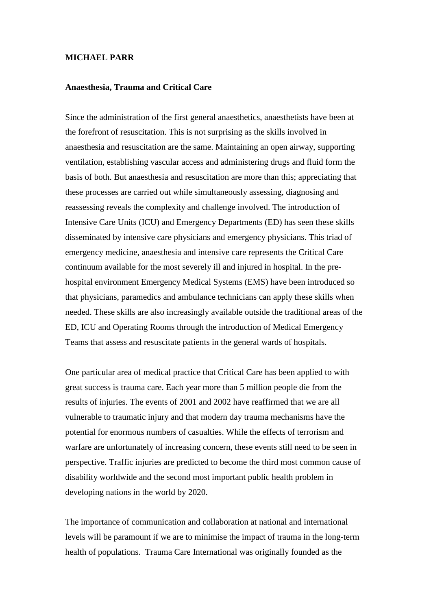## **MICHAEL PARR**

## **Anaesthesia, Trauma and Critical Care**

Since the administration of the first general anaesthetics, anaesthetists have been at the forefront of resuscitation. This is not surprising as the skills involved in anaesthesia and resuscitation are the same. Maintaining an open airway, supporting ventilation, establishing vascular access and administering drugs and fluid form the basis of both. But anaesthesia and resuscitation are more than this; appreciating that these processes are carried out while simultaneously assessing, diagnosing and reassessing reveals the complexity and challenge involved. The introduction of Intensive Care Units (ICU) and Emergency Departments (ED) has seen these skills disseminated by intensive care physicians and emergency physicians. This triad of emergency medicine, anaesthesia and intensive care represents the Critical Care continuum available for the most severely ill and injured in hospital. In the prehospital environment Emergency Medical Systems (EMS) have been introduced so that physicians, paramedics and ambulance technicians can apply these skills when needed. These skills are also increasingly available outside the traditional areas of the ED, ICU and Operating Rooms through the introduction of Medical Emergency Teams that assess and resuscitate patients in the general wards of hospitals.

One particular area of medical practice that Critical Care has been applied to with great success is trauma care. Each year more than 5 million people die from the results of injuries. The events of 2001 and 2002 have reaffirmed that we are all vulnerable to traumatic injury and that modern day trauma mechanisms have the potential for enormous numbers of casualties. While the effects of terrorism and warfare are unfortunately of increasing concern, these events still need to be seen in perspective. Traffic injuries are predicted to become the third most common cause of disability worldwide and the second most important public health problem in developing nations in the world by 2020.

The importance of communication and collaboration at national and international levels will be paramount if we are to minimise the impact of trauma in the long-term health of populations. Trauma Care International was originally founded as the